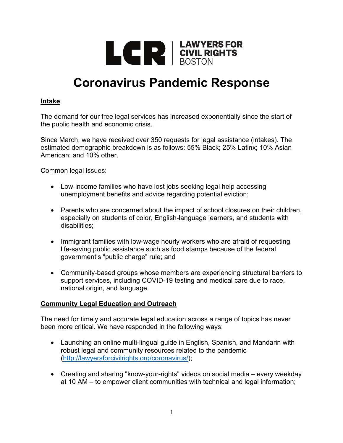

# **Coronavirus Pandemic Response**

# **Intake**

The demand for our free legal services has increased exponentially since the start of the public health and economic crisis.

Since March, we have received over 350 requests for legal assistance (intakes). The estimated demographic breakdown is as follows: 55% Black; 25% Latinx; 10% Asian American; and 10% other.

Common legal issues:

- Low-income families who have lost jobs seeking legal help accessing unemployment benefits and advice regarding potential eviction;
- Parents who are concerned about the impact of school closures on their children, especially on students of color, English-language learners, and students with disabilities;
- Immigrant families with low-wage hourly workers who are afraid of requesting life-saving public assistance such as food stamps because of the federal government's "public charge" rule; and
- Community-based groups whose members are experiencing structural barriers to support services, including COVID-19 testing and medical care due to race, national origin, and language.

#### **Community Legal Education and Outreach**

The need for timely and accurate legal education across a range of topics has never been more critical. We have responded in the following ways:

- Launching an online multi-lingual guide in English, Spanish, and Mandarin with robust legal and community resources related to the pandemic (http://lawyersforcivilrights.org/coronavirus/);
- Creating and sharing "know-your-rights" videos on social media every weekday at 10 AM – to empower client communities with technical and legal information;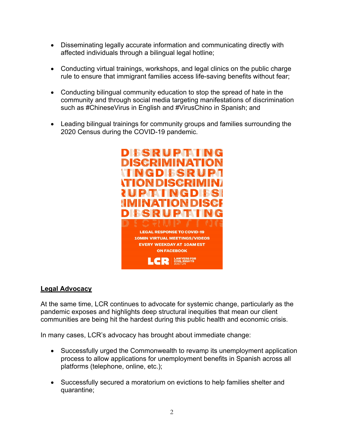- Disseminating legally accurate information and communicating directly with affected individuals through a bilingual legal hotline;
- Conducting virtual trainings, workshops, and legal clinics on the public charge rule to ensure that immigrant families access life-saving benefits without fear;
- Conducting bilingual community education to stop the spread of hate in the community and through social media targeting manifestations of discrimination such as #ChineseVirus in English and #VirusChino in Spanish; and
- Leading bilingual trainings for community groups and families surrounding the 2020 Census during the COVID-19 pandemic.



#### **Legal Advocacy**

At the same time, LCR continues to advocate for systemic change, particularly as the pandemic exposes and highlights deep structural inequities that mean our client communities are being hit the hardest during this public health and economic crisis.

In many cases, LCR's advocacy has brought about immediate change:

- Successfully urged the Commonwealth to revamp its unemployment application process to allow applications for unemployment benefits in Spanish across all platforms (telephone, online, etc.);
- Successfully secured a moratorium on evictions to help families shelter and quarantine;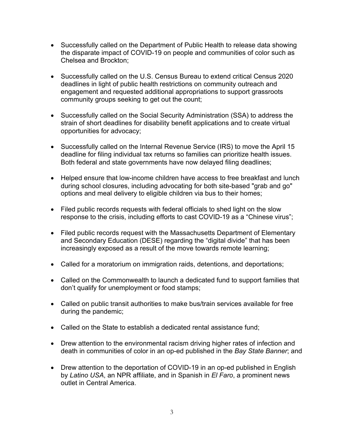- Successfully called on the Department of Public Health to release data showing the disparate impact of COVID-19 on people and communities of color such as Chelsea and Brockton;
- Successfully called on the U.S. Census Bureau to extend critical Census 2020 deadlines in light of public health restrictions on community outreach and engagement and requested additional appropriations to support grassroots community groups seeking to get out the count;
- Successfully called on the Social Security Administration (SSA) to address the strain of short deadlines for disability benefit applications and to create virtual opportunities for advocacy;
- Successfully called on the Internal Revenue Service (IRS) to move the April 15 deadline for filing individual tax returns so families can prioritize health issues. Both federal and state governments have now delayed filing deadlines;
- Helped ensure that low-income children have access to free breakfast and lunch during school closures, including advocating for both site-based "grab and go" options and meal delivery to eligible children via bus to their homes;
- Filed public records requests with federal officials to shed light on the slow response to the crisis, including efforts to cast COVID-19 as a "Chinese virus";
- Filed public records request with the Massachusetts Department of Elementary and Secondary Education (DESE) regarding the "digital divide" that has been increasingly exposed as a result of the move towards remote learning;
- Called for a moratorium on immigration raids, detentions, and deportations;
- Called on the Commonwealth to launch a dedicated fund to support families that don't qualify for unemployment or food stamps;
- Called on public transit authorities to make bus/train services available for free during the pandemic;
- Called on the State to establish a dedicated rental assistance fund;
- Drew attention to the environmental racism driving higher rates of infection and death in communities of color in an op-ed published in the *Bay State Banner*; and
- Drew attention to the deportation of COVID-19 in an op-ed published in English by *Latino USA*, an NPR affiliate, and in Spanish in *El Faro*, a prominent news outlet in Central America.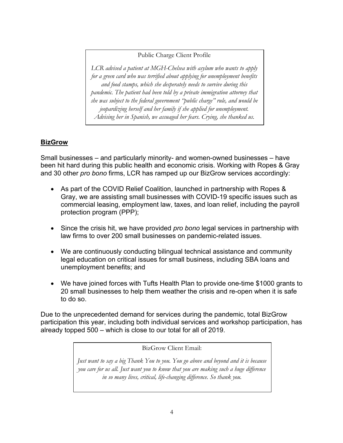#### Public Charge Client Profile

*LCR advised a patient at MGH-Chelsea with asylum who wants to apply for a green card who was terrified about applying for unemployment benefits and food stamps, which she desperately needs to survive during this pandemic. The patient had been told by a private immigration attorney that she was subject to the federal government "public charge" rule, and would be jeopardizing herself and her family if she applied for unemployment. Advising her in Spanish, we assuaged her fears. Crying, she thanked us.*

# **BizGrow**

Small businesses – and particularly minority- and women-owned businesses – have been hit hard during this public health and economic crisis. Working with Ropes & Gray and 30 other *pro bono* firms, LCR has ramped up our BizGrow services accordingly:

- As part of the COVID Relief Coalition, launched in partnership with Ropes & Gray, we are assisting small businesses with COVID-19 specific issues such as commercial leasing, employment law, taxes, and loan relief, including the payroll protection program (PPP);
- Since the crisis hit, we have provided *pro bono* legal services in partnership with law firms to over 200 small businesses on pandemic-related issues.
- We are continuously conducting bilingual technical assistance and community legal education on critical issues for small business, including SBA loans and unemployment benefits; and
- We have joined forces with Tufts Health Plan to provide one-time \$1000 grants to 20 small businesses to help them weather the crisis and re-open when it is safe to do so.

Due to the unprecedented demand for services during the pandemic, total BizGrow participation this year, including both individual services and workshop participation, has already topped 500 – which is close to our total for all of 2019.

BizGrow Client Email:

*Just want to say a big Thank You to you. You go above and beyond and it is because you care for us all. Just want you to know that you are making such a huge difference in so many lives, critical, life-changing difference. So thank you.*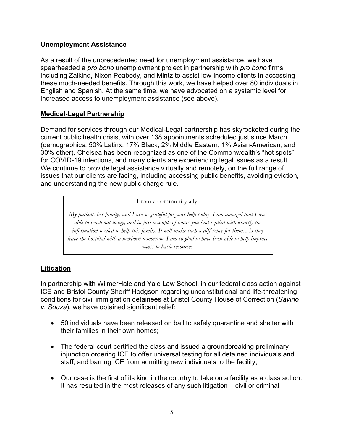# **Unemployment Assistance**

As a result of the unprecedented need for unemployment assistance, we have spearheaded a *pro bono* unemployment project in partnership with *pro bono* firms, including Zalkind, Nixon Peabody, and Mintz to assist low-income clients in accessing these much-needed benefits. Through this work, we have helped over 80 individuals in English and Spanish. At the same time, we have advocated on a systemic level for increased access to unemployment assistance (see above).

# **Medical-Legal Partnership**

Demand for services through our Medical-Legal partnership has skyrocketed during the current public health crisis, with over 138 appointments scheduled just since March (demographics: 50% Latinx, 17% Black, 2% Middle Eastern, 1% Asian-American, and 30% other). Chelsea has been recognized as one of the Commonwealth's "hot spots" for COVID-19 infections, and many clients are experiencing legal issues as a result. We continue to provide legal assistance virtually and remotely, on the full range of issues that our clients are facing, including accessing public benefits, avoiding eviction, and understanding the new public charge rule.

From a community ally:

*My patient, her family, and I are so grateful for your help today. I am amazed that I was able to reach out today, and in just a couple of hours you had replied with exactly the information needed to help this family. It will make such a difference for them. As they leave the hospital with a newborn tomorrow, I am so glad to have been able to help improve access to basic resources.*

# **Litigation**

In partnership with WilmerHale and Yale Law School, in our federal class action against ICE and Bristol County Sheriff Hodgson regarding unconstitutional and life-threatening conditions for civil immigration detainees at Bristol County House of Correction (*Savino v. Souza*), we have obtained significant relief:

- 50 individuals have been released on bail to safely quarantine and shelter with their families in their own homes;
- The federal court certified the class and issued a groundbreaking preliminary injunction ordering ICE to offer universal testing for all detained individuals and staff, and barring ICE from admitting new individuals to the facility;
- Our case is the first of its kind in the country to take on a facility as a class action. It has resulted in the most releases of any such litigation – civil or criminal –